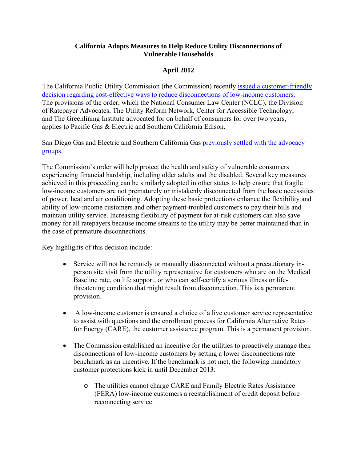## **California Adopts Measures to Help Reduce Utility Disconnections of Vulnerable Households**

## **April 2012**

The California Public Utility Commission (the Commission) recently [issued a customer-friendly](http://www.nclc.org/images/pdf/energy_utility_telecom/electric_and_gas/final-order-phase-2.pdf)  [decision regarding cost-effective ways to reduce disconnections of low](http://www.nclc.org/images/pdf/energy_utility_telecom/electric_and_gas/final-order-phase-2.pdf)-income customers. The provisions of the order, which the National Consumer Law Center (NCLC), the Division of Ratepayer Advocates, The Utility Reform Network, Center for Accessible Technology, and The Greenlining Institute advocated for on behalf of consumers for over two years, applies to Pacific Gas & Electric and Southern California Edison.

San Diego Gas and Electric and Southern California Gas [previously settled with the advocacy](http://www.nclc.org/images/pdf/energy_utility_telecom/electric_and_gas/model-settlement-cu-utilities.pdf)  [groups.](http://www.nclc.org/images/pdf/energy_utility_telecom/electric_and_gas/model-settlement-cu-utilities.pdf)

The Commission's order will help protect the health and safety of vulnerable consumers experiencing financial hardship, including older adults and the disabled. Several key measures achieved in this proceeding can be similarly adopted in other states to help ensure that fragile low-income customers are not prematurely or mistakenly disconnected from the basic necessities of power, heat and air conditioning. Adopting these basic protections enhance the flexibility and ability of low-income customers and other payment-troubled customers to pay their bills and maintain utility service. Increasing flexibility of payment for at-risk customers can also save money for all ratepayers because income streams to the utility may be better maintained than in the case of premature disconnections.

Key highlights of this decision include:

- Service will not be remotely or manually disconnected without a precautionary inperson site visit from the utility representative for customers who are on the Medical Baseline rate, on life support, or who can self-certify a serious illness or lifethreatening condition that might result from disconnection. This is a permanent provision.
- A low-income customer is ensured a choice of a live customer service representative to assist with questions and the enrollment process for California Alternative Rates for Energy (CARE), the customer assistance program. This is a permanent provision.
- The Commission established an incentive for the utilities to proactively manage their disconnections of low-income customers by setting a lower disconnections rate benchmark as an incentive. If the benchmark is not met, the following mandatory customer protections kick in until December 2013:
	- o The utilities cannot charge CARE and Family Electric Rates Assistance (FERA) low-income customers a reestablishment of credit deposit before reconnecting service.